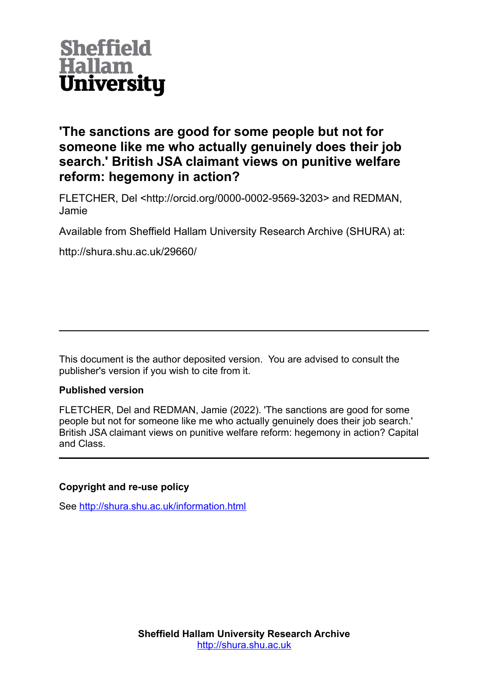

**'The sanctions are good for some people but not for someone like me who actually genuinely does their job search.' British JSA claimant views on punitive welfare reform: hegemony in action?**

FLETCHER, Del <http://orcid.org/0000-0002-9569-3203> and REDMAN, Jamie

Available from Sheffield Hallam University Research Archive (SHURA) at:

http://shura.shu.ac.uk/29660/

This document is the author deposited version. You are advised to consult the publisher's version if you wish to cite from it.

# **Published version**

FLETCHER, Del and REDMAN, Jamie (2022). 'The sanctions are good for some people but not for someone like me who actually genuinely does their job search.' British JSA claimant views on punitive welfare reform: hegemony in action? Capital and Class.

# **Copyright and re-use policy**

See<http://shura.shu.ac.uk/information.html>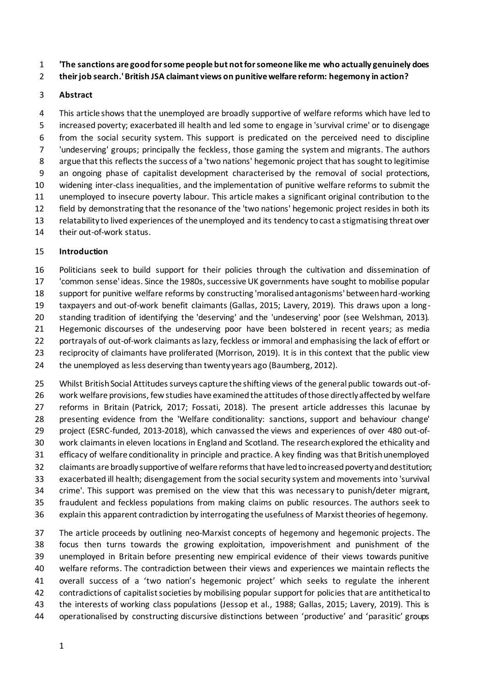**'The sanctions are good for some people but not for someone like me who actually genuinely does** 

**their job search.' British JSA claimant views on punitive welfare reform: hegemony in action?** 

# **Abstract**

 This article shows that the unemployed are broadly supportive of welfare reforms which have led to increased poverty; exacerbated ill health and led some to engage in 'survival crime' or to disengage from the social security system. This support is predicated on the perceived need to discipline 'undeserving' groups; principally the feckless, those gaming the system and migrants. The authors 8 argue that this reflects the success of a 'two nations' hegemonic project that has sought to legitimise an ongoing phase of capitalist development characterised by the removal of social protections, widening inter-class inequalities, and the implementation of punitive welfare reforms to submit the unemployed to insecure poverty labour. This article makes a significant original contribution to the field by demonstrating that the resonance of the 'two nations' hegemonic project resides in both its relatability to lived experiences of the unemployed and its tendency to cast a stigmatising threat over their out-of-work status.

# **Introduction**

 Politicians seek to build support for their policies through the cultivation and dissemination of 'common sense' ideas. Since the 1980s, successive UK governments have sought to mobilise popular support for punitive welfare reforms by constructing 'moralised antagonisms' between hard-working taxpayers and out-of-work benefit claimants (Gallas, 2015; Lavery, 2019). This draws upon a long- standing tradition of identifying the 'deserving' and the 'undeserving' poor (see Welshman, 2013). Hegemonic discourses of the undeserving poor have been bolstered in recent years; as media portrayals of out-of-work claimants as lazy, feckless or immoral and emphasising the lack of effort or reciprocity of claimants have proliferated (Morrison, 2019). It is in this context that the public view 24 the unemployed as less deserving than twenty years ago (Baumberg, 2012).

 Whilst British Social Attitudes surveys capture the shifting views of the general public towards out-of- work welfare provisions, few studies have examined the attitudes of those directly affected by welfare reforms in Britain (Patrick, 2017; Fossati, 2018). The present article addresses this lacunae by presenting evidence from the 'Welfare conditionality: sanctions, support and behaviour change' project (ESRC-funded, 2013-2018), which canvassed the views and experiences of over 480 out-of- work claimants in eleven locations in England and Scotland. The research explored the ethicality and efficacy of welfare conditionality in principle and practice. A key finding was that British unemployed claimants are broadly supportive of welfare reforms that have led to increased poverty and destitution; exacerbated ill health; disengagement from the social security system and movements into 'survival crime'. This support was premised on the view that this was necessary to punish/deter migrant, fraudulent and feckless populations from making claims on public resources. The authors seek to explain this apparent contradiction by interrogating the usefulness of Marxist theories of hegemony.

 The article proceeds by outlining neo-Marxist concepts of hegemony and hegemonic projects. The focus then turns towards the growing exploitation, impoverishment and punishment of the unemployed in Britain before presenting new empirical evidence of their views towards punitive welfare reforms. The contradiction between their views and experiences we maintain reflects the overall success of a 'two nation's hegemonic project' which seeks to regulate the inherent contradictions of capitalist societies by mobilising popular support for policies that are antithetical to the interests of working class populations (Jessop et al., 1988; Gallas, 2015; Lavery, 2019). This is operationalised by constructing discursive distinctions between 'productive' and 'parasitic' groups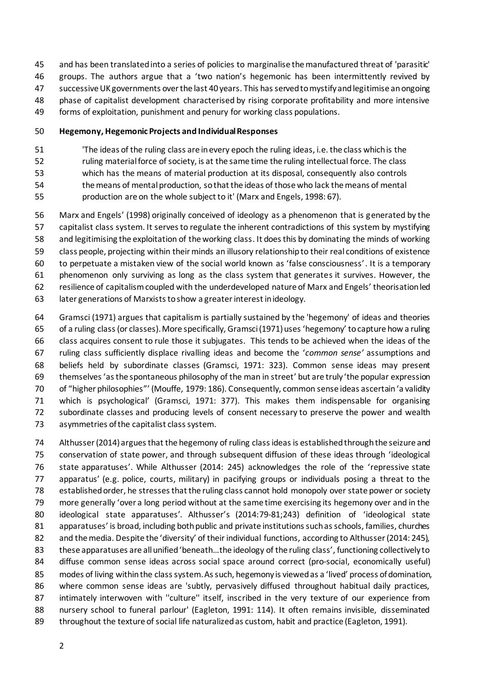- and has been translated into a series of policies to marginalise the manufactured threat of 'parasitic' groups. The authors argue that a 'two nation's hegemonic has been intermittently revived by successive UK governments over the last 40 years. This has served to mystify and legitimise an ongoing phase of capitalist development characterised by rising corporate profitability and more intensive forms of exploitation, punishment and penury for working class populations.
- 

# **Hegemony, Hegemonic Projects and Individual Responses**

- 'The ideas of the ruling class are in every epoch the ruling ideas, i.e. the class which is the
- ruling material force of society, is at the same time the ruling intellectual force. The class
- which has the means of material production at its disposal, consequently also controls
- the means of mental production, so that the ideas of those who lack the means of mental
- production are on the whole subject to it' (Marx and Engels, 1998: 67).
- Marx and Engels' (1998) originally conceived of ideology as a phenomenon that is generated by the capitalist class system. It serves to regulate the inherent contradictions of this system by mystifying and legitimising the exploitation of the working class. It does this by dominating the minds of working class people, projecting within their minds an illusory relationship to their real conditions of existence to perpetuate a mistaken view of the social world known as 'false consciousness'. It is a temporary phenomenon only surviving as long as the class system that generates it survives. However, the resilience of capitalism coupled with the underdeveloped nature of Marx and Engels' theorisation led later generations of Marxists to show a greater interest in ideology.
- Gramsci (1971) argues that capitalism is partially sustained by the 'hegemony' of ideas and theories of a ruling class(or classes). More specifically, Gramsci (1971) uses 'hegemony' to capture how a ruling class acquires consent to rule those it subjugates. This tends to be achieved when the ideas of the ruling class sufficiently displace rivalling ideas and become the '*common sense'* assumptions and beliefs held by subordinate classes (Gramsci, 1971: 323). Common sense ideas may present themselves'as the spontaneous philosophy of the man in street' but are truly 'the popular expression of "higher philosophies"' (Mouffe, 1979: 186). Consequently, common sense ideas ascertain 'a validity which is psychological' (Gramsci, 1971: 377). This makes them indispensable for organising subordinate classes and producing levels of consent necessary to preserve the power and wealth asymmetries of the capitalist class system.
- Althusser (2014) argues that the hegemony of ruling class ideas is establishedthroughthe seizure and conservation of state power, and through subsequent diffusion of these ideas through 'ideological state apparatuses'. While Althusser (2014: 245) acknowledges the role of the 'repressive state apparatus' (e.g. police, courts, military) in pacifying groups or individuals posing a threat to the established order, he stresses that the ruling class cannot hold monopoly over state power or society more generally 'over a long period without at the same time exercising its hegemony over and in the ideological state apparatuses'. Althusser's (2014:79-81;243) definition of 'ideological state apparatuses' is broad, including both public and private institutions such as schools, families, churches 82 and the media. Despite the 'diversity' of their individual functions, according to Althusser (2014: 245), these apparatuses are all unified 'beneath…the ideology of the ruling class', functioning collectively to diffuse common sense ideas across social space around correct (pro-social, economically useful) modes of living within the class system. As such, hegemony is viewed as a 'lived' process of domination, 86 where common sense ideas are 'subtly, pervasively diffused throughout habitual daily practices, intimately interwoven with ''culture'' itself, inscribed in the very texture of our experience from nursery school to funeral parlour' (Eagleton, 1991: 114). It often remains invisible, disseminated throughout the texture of social life naturalized as custom, habit and practice (Eagleton, 1991).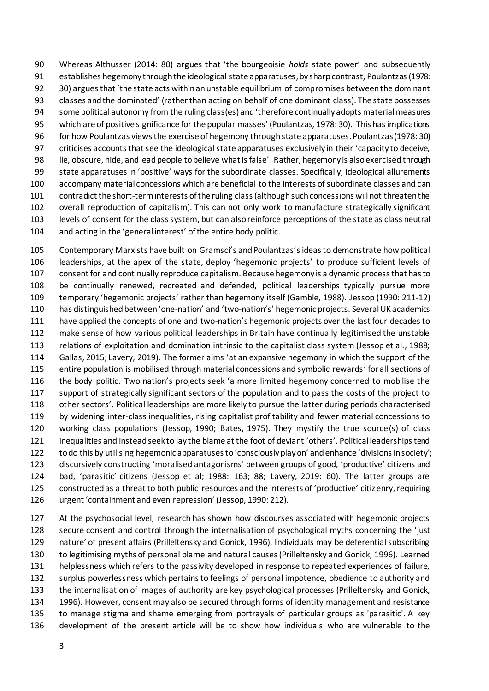Whereas Althusser (2014: 80) argues that 'the bourgeoisie *holds* state power' and subsequently establishes hegemony through the ideological state apparatuses,by sharpcontrast, Poulantzas (1978: 30) argues that 'the state acts within an unstable equilibrium of compromises between the dominant classes and the dominated' (rather than acting on behalf of one dominant class). The state possesses some political autonomy from the ruling class(es) and 'therefore continually adopts material measures which are of positive significance for the popular masses' (Poulantzas, 1978: 30). This has implications for how Poulantzas views the exercise of hegemony through state apparatuses. Poulantzas (1978: 30) criticises accounts thatsee the ideological state apparatuses exclusively in their 'capacity to deceive, lie, obscure, hide, and lead people to believe what is false'. Rather, hegemony is also exercised through state apparatuses in 'positive' ways for the subordinate classes. Specifically, ideological allurements accompany material concessions which are beneficial to the interests of subordinate classes and can contradict the short-term interests of the ruling class (although such concessions will not threaten the overall reproduction of capitalism). This can not only work to manufacture strategically significant levels of consent for the class system, but can also reinforce perceptions of the state as class neutral and acting in the 'general interest' of the entire body politic.

 Contemporary Marxists have built on Gramsci's andPoulantzas's ideas to demonstrate how political leaderships, at the apex of the state, deploy 'hegemonic projects' to produce sufficient levels of consent for and continually reproduce capitalism. Because hegemony is a dynamic process that has to be continually renewed, recreated and defended, political leaderships typically pursue more temporary 'hegemonic projects' rather than hegemony itself (Gamble, 1988). Jessop (1990: 211-12) has distinguished between 'one-nation' and 'two-nation's' hegemonic projects. Several UK academics have applied the concepts of one and two-nation's hegemonic projects over the last four decades to make sense of how various political leaderships in Britain have continually legitimised the unstable relations of exploitation and domination intrinsic to the capitalist class system (Jessop et al., 1988; Gallas, 2015; Lavery, 2019). The former aims 'at an expansive hegemony in which the support of the entire population is mobilised through material concessions and symbolic rewards' for all sections of the body politic. Two nation's projects seek 'a more limited hegemony concerned to mobilise the support of strategically significant sectors of the population and to pass the costs of the project to other sectors'. Political leaderships are more likely to pursue the latter during periods characterised by widening inter-class inequalities, rising capitalist profitability and fewer material concessions to working class populations (Jessop, 1990; Bates, 1975). They mystify the true source(s) of class inequalities and instead seek to lay the blame at the foot of deviant 'others'. Political leaderships tend to do this by utilising hegemonic apparatuses to 'consciously play on' and enhance 'divisions in society'; discursively constructing 'moralised antagonisms' between groups of good, 'productive' citizens and bad, 'parasitic' citizens (Jessop et al; 1988: 163; 88; Lavery, 2019: 60). The latter groups are constructed as a threat to both public resources and the interests of 'productive' citizenry, requiring urgent 'containment and even repression' (Jessop, 1990: 212).

 At the psychosocial level, research has shown how discourses associated with hegemonic projects secure consent and control through the internalisation of psychological myths concerning the 'just nature' of present affairs (Prilleltensky and Gonick, 1996). Individuals may be deferential subscribing to legitimising myths of personal blame and natural causes (Prilleltensky and Gonick, 1996). Learned helplessness which refers to the passivity developed in response to repeated experiences of failure, surplus powerlessness which pertains to feelings of personal impotence, obedience to authority and the internalisation of images of authority are key psychological processes (Prilleltensky and Gonick, 1996). However, consent may also be secured through forms of identity management and resistance to manage stigma and shame emerging from portrayals of particular groups as 'parasitic'. A key development of the present article will be to show how individuals who are vulnerable to the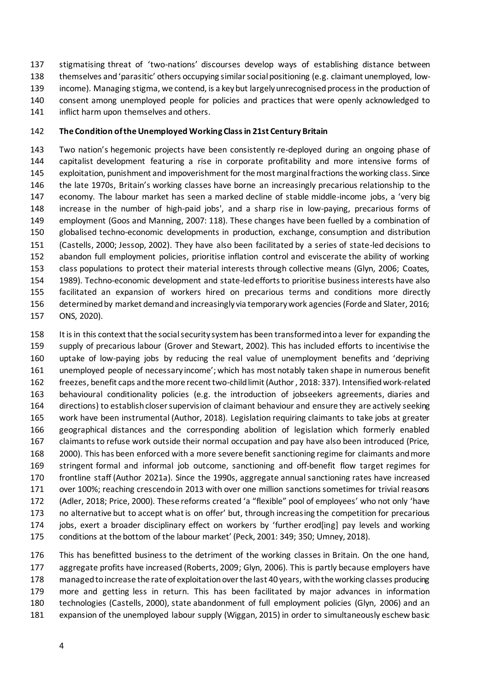stigmatising threat of 'two-nations' discourses develop ways of establishing distance between themselves and 'parasitic' others occupying similar social positioning (e.g. claimant unemployed, low- income). Managing stigma, we contend, is a key but largely unrecognised process in the production of consent among unemployed people for policies and practices that were openly acknowledged to 141 inflict harm upon themselves and others.

#### **The Condition of the Unemployed Working Class in 21st Century Britain**

 Two nation's hegemonic projects have been consistently re-deployed during an ongoing phase of capitalist development featuring a rise in corporate profitability and more intensive forms of exploitation, punishment and impoverishment for the most marginal fractions the working class. Since the late 1970s, Britain's working classes have borne an increasingly precarious relationship to the economy. The labour market has seen a marked decline of stable middle-income jobs, a 'very big increase in the number of high-paid jobs', and a sharp rise in low-paying, precarious forms of employment (Goos and Manning, 2007: 118). These changes have been fuelled by a combination of globalised techno-economic developments in production, exchange, consumption and distribution (Castells, 2000; Jessop, 2002). They have also been facilitated by a series of state-led decisions to abandon full employment policies, prioritise inflation control and eviscerate the ability of working class populations to protect their material interests through collective means (Glyn, 2006; Coates, 1989). Techno-economic development and state-led efforts to prioritise business interests have also facilitated an expansion of workers hired on precarious terms and conditions more directly determined by market demand and increasingly via temporary work agencies (Forde and Slater, 2016; ONS, 2020).

 It is in this context that the social security system has been transformed into a lever for expanding the supply of precarious labour (Grover and Stewart, 2002). This has included efforts to incentivise the uptake of low-paying jobs by reducing the real value of unemployment benefits and 'depriving unemployed people of necessary income'; which has most notably taken shape in numerous benefit freezes, benefit caps and the more recent two-child limit (Author , 2018: 337). Intensified work-related behavioural conditionality policies (e.g. the introduction of jobseekers agreements, diaries and directions) to establish closer supervision of claimant behaviour and ensure they are actively seeking work have been instrumental (Author, 2018). Legislation requiring claimants to take jobs at greater geographical distances and the corresponding abolition of legislation which formerly enabled claimants to refuse work outside their normal occupation and pay have also been introduced (Price, 2000). This has been enforced with a more severe benefit sanctioning regime for claimants and more stringent formal and informal job outcome, sanctioning and off-benefit flow target regimes for frontline staff (Author 2021a). Since the 1990s, aggregate annual sanctioning rates have increased over 100%; reaching crescendo in 2013 with over one million sanctions sometimes for trivial reasons (Adler, 2018; Price, 2000). These reforms created 'a "flexible" pool of employees' who not only 'have no alternative but to accept what is on offer' but, through increasing the competition for precarious jobs, exert a broader disciplinary effect on workers by 'further erod[ing] pay levels and working conditions at the bottom of the labour market' (Peck, 2001: 349; 350; Umney, 2018).

 This has benefitted business to the detriment of the working classes in Britain. On the one hand, aggregate profits have increased (Roberts, 2009; Glyn, 2006). This is partly because employers have managed to increase the rate of exploitation over the last 40 years, with the working classes producing more and getting less in return. This has been facilitated by major advances in information technologies (Castells, 2000), state abandonment of full employment policies (Glyn, 2006) and an expansion of the unemployed labour supply (Wiggan, 2015) in order to simultaneously eschew basic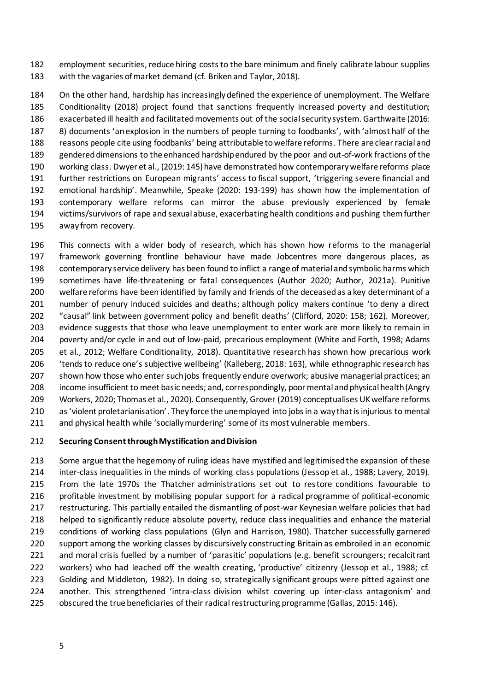employment securities, reduce hiring costs to the bare minimum and finely calibrate labour supplies with the vagaries of market demand (cf. Briken and Taylor, 2018).

 On the other hand, hardship has increasingly defined the experience of unemployment. The Welfare Conditionality (2018) project found that sanctions frequently increased poverty and destitution; exacerbated ill health and facilitated movements out of the social security system. Garthwaite (2016: 8) documents 'an explosion in the numbers of people turning to foodbanks', with 'almost half of the reasons people cite using foodbanks' being attributable to welfare reforms. There are clear racial and gendered dimensions to the enhanced hardship endured by the poor and out-of-work fractions of the working class. Dwyer et al., (2019: 145) have demonstrated how contemporary welfare reforms place further restrictions on European migrants' access to fiscal support, 'triggering severe financial and emotional hardship'. Meanwhile, Speake (2020: 193-199) has shown how the implementation of contemporary welfare reforms can mirror the abuse previously experienced by female victims/survivors of rape and sexual abuse, exacerbating health conditions and pushing them further away from recovery.

 This connects with a wider body of research, which has shown how reforms to the managerial framework governing frontline behaviour have made Jobcentres more dangerous places, as contemporary service delivery has been found to inflict a range of material and symbolic harms which sometimes have life-threatening or fatal consequences (Author 2020; Author, 2021a). Punitive welfare reforms have been identified by family and friends of the deceased as a key determinant of a number of penury induced suicides and deaths; although policy makers continue 'to deny a direct "causal" link between government policy and benefit deaths' (Clifford, 2020: 158; 162). Moreover, evidence suggests that those who leave unemployment to enter work are more likely to remain in poverty and/or cycle in and out of low-paid, precarious employment (White and Forth, 1998; Adams et al., 2012; Welfare Conditionality, 2018). Quantitative research has shown how precarious work 'tends to reduce one's subjective wellbeing' (Kalleberg, 2018: 163), while ethnographic research has shown how those who enter such jobs frequently endure overwork; abusive managerial practices; an income insufficient to meet basic needs; and, correspondingly, poor mental and physical health (Angry Workers, 2020; Thomas et al., 2020). Consequently, Grover (2019) conceptualises UK welfare reforms as 'violent proletarianisation'. They force the unemployed into jobs in a way that is injurious to mental and physical health while 'socially murdering' some of its most vulnerable members.

# **Securing Consent through Mystification and Division**

 Some argue that the hegemony of ruling ideas have mystified and legitimised the expansion of these inter-class inequalities in the minds of working class populations (Jessop et al., 1988; Lavery, 2019). From the late 1970s the Thatcher administrations set out to restore conditions favourable to profitable investment by mobilising popular support for a radical programme of political-economic restructuring. This partially entailed the dismantling of post-war Keynesian welfare policies that had helped to significantly reduce absolute poverty, reduce class inequalities and enhance the material conditions of working class populations (Glyn and Harrison, 1980). Thatcher successfully garnered support among the working classes by discursively constructing Britain as embroiled in an economic and moral crisis fuelled by a number of 'parasitic' populations (e.g. benefit scroungers; recalcitrant workers) who had leached off the wealth creating, 'productive' citizenry (Jessop et al., 1988; cf. Golding and Middleton, 1982). In doing so, strategically significant groups were pitted against one another. This strengthened 'intra-class division whilst covering up inter-class antagonism' and obscured the true beneficiaries of their radical restructuring programme (Gallas, 2015: 146).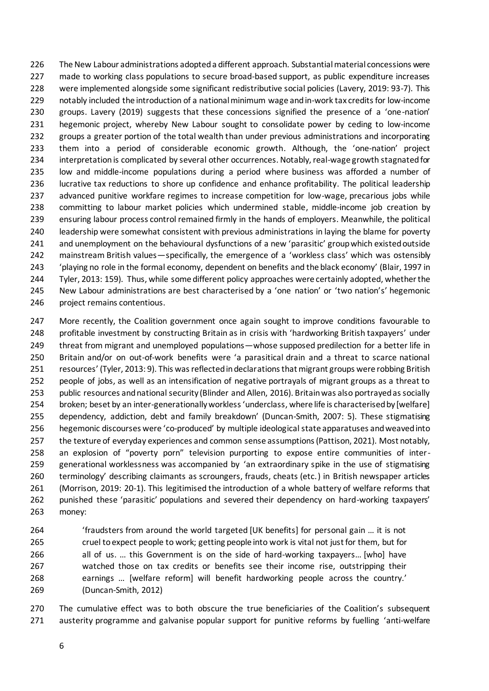The New Labour administrations adopted a different approach. Substantial material concessions were made to working class populations to secure broad-based support, as public expenditure increases were implemented alongside some significant redistributive social policies (Lavery, 2019: 93-7). This 229 notably included the introduction of a national minimum wage and in-work tax credits for low-income groups. Lavery (2019) suggests that these concessions signified the presence of a 'one-nation' hegemonic project, whereby New Labour sought to consolidate power by ceding to low-income groups a greater portion of the total wealth than under previous administrations and incorporating them into a period of considerable economic growth. Although, the 'one-nation' project interpretation is complicated by several other occurrences. Notably, real-wage growth stagnated for low and middle-income populations during a period where business was afforded a number of lucrative tax reductions to shore up confidence and enhance profitability. The political leadership advanced punitive workfare regimes to increase competition for low-wage, precarious jobs while committing to labour market policies which undermined stable, middle-income job creation by ensuring labour process control remained firmly in the hands of employers. Meanwhile, the political leadership were somewhat consistent with previous administrations in laying the blame for poverty and unemployment on the behavioural dysfunctions of a new 'parasitic' group which existed outside mainstream British values—specifically, the emergence of a 'workless class' which was ostensibly 'playing no role in the formal economy, dependent on benefits and the black economy' (Blair, 1997 in Tyler, 2013: 159). Thus, while some different policy approaches were certainly adopted, whether the 245 New Labour administrations are best characterised by a 'one nation' or 'two nation's' hegemonic project remains contentious.

247 More recently, the Coalition government once again sought to improve conditions favourable to profitable investment by constructing Britain as in crisis with 'hardworking British taxpayers' under 249 threat from migrant and unemployed populations—whose supposed predilection for a better life in Britain and/or on out-of-work benefits were 'a parasitical drain and a threat to scarce national resources' (Tyler, 2013: 9). This was reflected in declarations that migrant groups were robbing British people of jobs, as well as an intensification of negative portrayals of migrant groups as a threat to public resources and national security (Blinder and Allen, 2016). Britain was also portrayed as socially broken; beset by an inter-generationally workless 'underclass, where life is characterised by [welfare] dependency, addiction, debt and family breakdown' (Duncan-Smith, 2007: 5). These stigmatising hegemonic discourses were 'co-produced' by multiple ideological state apparatuses and weaved into the texture of everyday experiences and common sense assumptions (Pattison, 2021). Most notably, an explosion of "poverty porn" television purporting to expose entire communities of inter- generational worklessness was accompanied by 'an extraordinary spike in the use of stigmatising terminology' describing claimants as scroungers, frauds, cheats (etc.) in British newspaper articles (Morrison, 2019: 20-1). This legitimised the introduction of a whole battery of welfare reforms that punished these 'parasitic' populations and severed their dependency on hard-working taxpayers' money:

 'fraudsters from around the world targeted [UK benefits] for personal gain … it is not cruel to expect people to work; getting people into work is vital not just for them, but for all of us. … this Government is on the side of hard-working taxpayers… [who] have watched those on tax credits or benefits see their income rise, outstripping their earnings … [welfare reform] will benefit hardworking people across the country.' (Duncan-Smith, 2012)

 The cumulative effect was to both obscure the true beneficiaries of the Coalition's subsequent austerity programme and galvanise popular support for punitive reforms by fuelling 'anti-welfare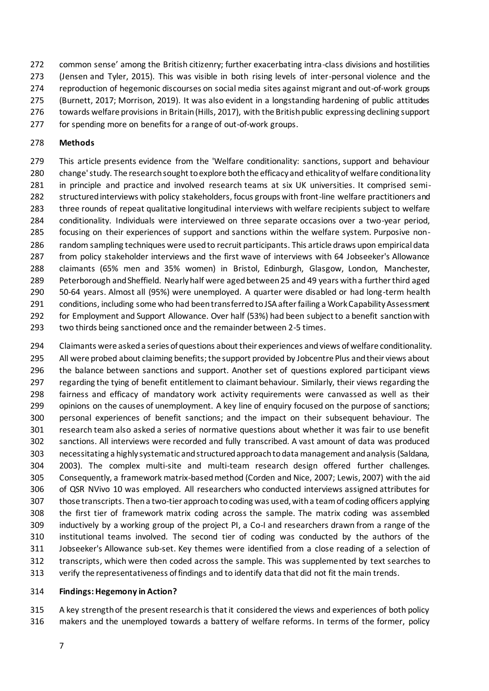common sense' among the British citizenry; further exacerbating intra-class divisions and hostilities (Jensen and Tyler, 2015). This was visible in both rising levels of inter-personal violence and the reproduction of hegemonic discourses on social media sites against migrant and out-of-work groups (Burnett, 2017; Morrison, 2019). It was also evident in a longstanding hardening of public attitudes towards welfare provisions in Britain (Hills, 2017), with the British public expressing declining support

for spending more on benefits for a range of out-of-work groups.

#### **Methods**

 This article presents evidence from the 'Welfare conditionality: sanctions, support and behaviour change' study. The research sought to explore both the efficacy and ethicality of welfare conditionality in principle and practice and involved research teams at six UK universities. It comprised semi- structured interviews with policy stakeholders, focus groups with front-line welfare practitioners and three rounds of repeat qualitative longitudinal interviews with welfare recipients subject to welfare conditionality. Individuals were interviewed on three separate occasions over a two-year period, focusing on their experiences of support and sanctions within the welfare system. Purposive non- random sampling techniques were used to recruit participants. This article draws upon empirical data from policy stakeholder interviews and the first wave of interviews with 64 Jobseeker's Allowance claimants (65% men and 35% women) in Bristol, Edinburgh, Glasgow, London, Manchester, Peterborough and Sheffield. Nearly half were aged between 25 and 49 years with a further third aged 50-64 years. Almost all (95%) were unemployed. A quarter were disabled or had long-term health conditions, including some who had been transferred to JSA after failing a Work Capability Assessment for Employment and Support Allowance. Over half (53%) had been subject to a benefit sanction with two thirds being sanctioned once and the remainder between 2-5 times.

 Claimants were asked a series of questions about their experiences and views of welfare conditionality. All were probed about claiming benefits; the support provided by Jobcentre Plus and their views about the balance between sanctions and support. Another set of questions explored participant views regarding the tying of benefit entitlement to claimant behaviour. Similarly, their views regarding the fairness and efficacy of mandatory work activity requirements were canvassed as well as their opinions on the causes of unemployment. A key line of enquiry focused on the purpose of sanctions; personal experiences of benefit sanctions; and the impact on their subsequent behaviour. The research team also asked a series of normative questions about whether it was fair to use benefit sanctions. All interviews were recorded and fully transcribed. A vast amount of data was produced necessitating a highly systematic and structured approach to data management and analysis (Saldana, 2003). The complex multi-site and multi-team research design offered further challenges. Consequently, a framework matrix-based method (Corden and Nice, 2007; Lewis, 2007) with the aid of QSR NVivo 10 was employed. All researchers who conducted interviews assigned attributes for those transcripts. Then a two-tier approach to coding was used, with a team of coding officers applying the first tier of framework matrix coding across the sample. The matrix coding was assembled inductively by a working group of the project PI, a Co-I and researchers drawn from a range of the institutional teams involved. The second tier of coding was conducted by the authors of the Jobseeker's Allowance sub-set. Key themes were identified from a close reading of a selection of transcripts, which were then coded across the sample. This was supplemented by text searches to verify the representativeness of findings and to identify data that did not fit the main trends.

#### **Findings: Hegemony in Action?**

 A key strength of the present research is that it considered the views and experiences of both policy makers and the unemployed towards a battery of welfare reforms. In terms of the former, policy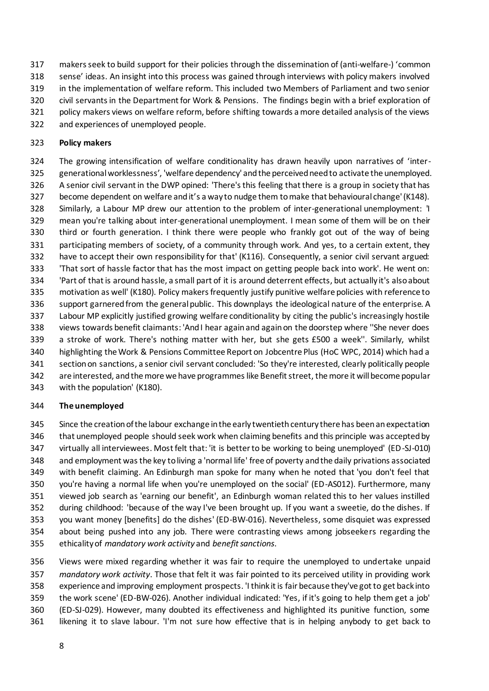makers seek to build support for their policies through the dissemination of (anti-welfare-) 'common

sense' ideas. An insight into this process was gained through interviews with policy makers involved

- in the implementation of welfare reform. This included two Members of Parliament and two senior
- civil servants in the Department for Work & Pensions. The findings begin with a brief exploration of
- policy makers views on welfare reform, before shifting towards a more detailed analysis of the views
- and experiences of unemployed people.

# **Policy makers**

 The growing intensification of welfare conditionality has drawn heavily upon narratives of 'inter- generational worklessness', 'welfare dependency' and the perceived need to activate the unemployed. A senior civil servant in the DWP opined: 'There's this feeling that there is a group in society that has become dependent on welfare and it's a way to nudge them to make that behavioural change' (K148). Similarly, a Labour MP drew our attention to the problem of inter-generational unemployment: 'I mean you're talking about inter-generational unemployment. I mean some of them will be on their third or fourth generation. I think there were people who frankly got out of the way of being participating members of society, of a community through work. And yes, to a certain extent, they have to accept their own responsibility for that' (K116). Consequently, a senior civil servant argued: 'That sort of hassle factor that has the most impact on getting people back into work'. He went on: 'Part of that is around hassle, a small part of it is around deterrent effects, but actually it's also about motivation as well' (K180). Policy makers frequently justify punitive welfare policies with reference to support garnered from the general public. This downplays the ideological nature of the enterprise. A Labour MP explicitly justified growing welfare conditionality by citing the public's increasingly hostile views towards benefit claimants: 'And I hear again and again on the doorstep where ''She never does a stroke of work. There's nothing matter with her, but she gets £500 a week''. Similarly, whilst highlighting the Work & Pensions Committee Report on Jobcentre Plus (HoC WPC, 2014) which had a section on sanctions, a senior civil servant concluded: 'So they're interested, clearly politically people are interested, and the more we have programmes like Benefit street, the more it will become popular with the population' (K180).

# **The unemployed**

 Since the creation of the labour exchange in the early twentieth century there has been an expectation that unemployed people should seek work when claiming benefits and this principle was accepted by virtually all interviewees. Most felt that: 'it is better to be working to being unemployed' (ED-SJ-010) and employment was the key to living a 'normal life' free of poverty and the daily privations associated with benefit claiming. An Edinburgh man spoke for many when he noted that 'you don't feel that you're having a normal life when you're unemployed on the social' (ED-AS012). Furthermore, many viewed job search as 'earning our benefit', an Edinburgh woman related this to her values instilled during childhood: 'because of the way I've been brought up. If you want a sweetie, do the dishes. If you want money [benefits] do the dishes' (ED-BW-016). Nevertheless, some disquiet was expressed about being pushed into any job. There were contrasting views among jobseekers regarding the ethicality of *mandatory work activity* and *benefit sanctions*.

 Views were mixed regarding whether it was fair to require the unemployed to undertake unpaid *mandatory work activity*. Those that felt it was fair pointed to its perceived utility in providing work experience and improving employment prospects. 'I think it is fair because they've got to get back into the work scene' (ED-BW-026). Another individual indicated: 'Yes, if it's going to help them get a job' (ED-SJ-029). However, many doubted its effectiveness and highlighted its punitive function, some likening it to slave labour. 'I'm not sure how effective that is in helping anybody to get back to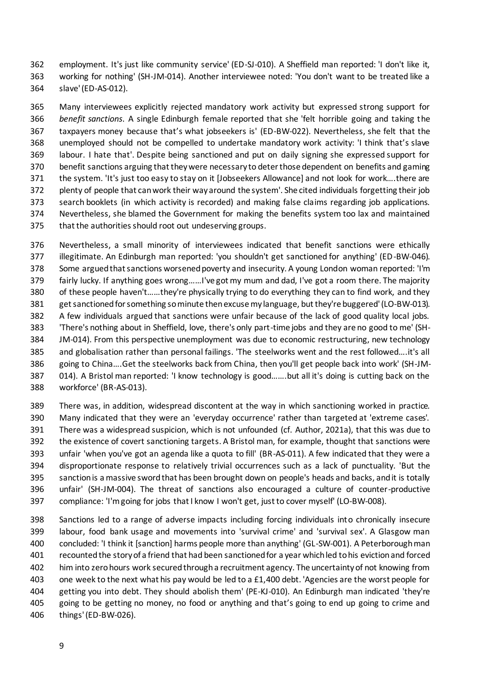employment. It's just like community service' (ED-SJ-010). A Sheffield man reported: 'I don't like it, working for nothing' (SH-JM-014). Another interviewee noted: 'You don't want to be treated like a slave' (ED-AS-012).

 Many interviewees explicitly rejected mandatory work activity but expressed strong support for *benefit sanctions*. A single Edinburgh female reported that she 'felt horrible going and taking the taxpayers money because that's what jobseekers is' (ED-BW-022). Nevertheless, she felt that the unemployed should not be compelled to undertake mandatory work activity: 'I think that's slave labour. I hate that'. Despite being sanctioned and put on daily signing she expressed support for benefit sanctions arguing that they were necessary to deter those dependent on benefits and gaming the system. 'It's just too easy to stay on it [Jobseekers Allowance] and not look for work….there are plenty of people that can work their way around the system'. She cited individuals forgetting their job search booklets (in which activity is recorded) and making false claims regarding job applications. Nevertheless, she blamed the Government for making the benefits system too lax and maintained that the authorities should root out undeserving groups.

 Nevertheless, a small minority of interviewees indicated that benefit sanctions were ethically illegitimate. An Edinburgh man reported: 'you shouldn't get sanctioned for anything' (ED-BW-046). Some argued that sanctions worsened poverty and insecurity. A young London woman reported: 'I'm fairly lucky. If anything goes wrong……I've got my mum and dad, I've got a room there. The majority of these people haven't……they're physically trying to do everything they can to find work, and they get sanctioned for something so minute then excuse my language, but they're buggered' (LO-BW-013). A few individuals argued that sanctions were unfair because of the lack of good quality local jobs. 'There's nothing about in Sheffield, love, there's only part-time jobs and they are no good to me' (SH- JM-014). From this perspective unemployment was due to economic restructuring, new technology and globalisation rather than personal failings. 'The steelworks went and the rest followed….it's all going to China….Get the steelworks back from China, then you'll get people back into work' (SH-JM- 014). A Bristol man reported: 'I know technology is good…….but all it's doing is cutting back on the workforce' (BR-AS-013).

 There was, in addition, widespread discontent at the way in which sanctioning worked in practice. Many indicated that they were an 'everyday occurrence' rather than targeted at 'extreme cases'. There was a widespread suspicion, which is not unfounded (cf. Author, 2021a), that this was due to the existence of covert sanctioning targets. A Bristol man, for example, thought that sanctions were unfair 'when you've got an agenda like a quota to fill' (BR-AS-011). A few indicated that they were a disproportionate response to relatively trivial occurrences such as a lack of punctuality. 'But the sanction is a massive sword that has been brought down on people's heads and backs, and it is totally unfair' (SH-JM-004). The threat of sanctions also encouraged a culture of counter-productive compliance: 'I'm going for jobs that I know I won't get, just to cover myself' (LO-BW-008).

 Sanctions led to a range of adverse impacts including forcing individuals into chronically insecure labour, food bank usage and movements into 'survival crime' and 'survival sex'. A Glasgow man concluded: 'I think it [sanction] harms people more than anything' (GL-SW-001). A Peterborough man recounted the story of a friend that had been sanctioned for a year which led to his eviction and forced him into zero hours work secured through a recruitment agency. The uncertainty of not knowing from one week to the next what his pay would be led to a £1,400 debt. 'Agencies are the worst people for getting you into debt. They should abolish them' (PE-KJ-010). An Edinburgh man indicated 'they're going to be getting no money, no food or anything and that's going to end up going to crime and things' (ED-BW-026).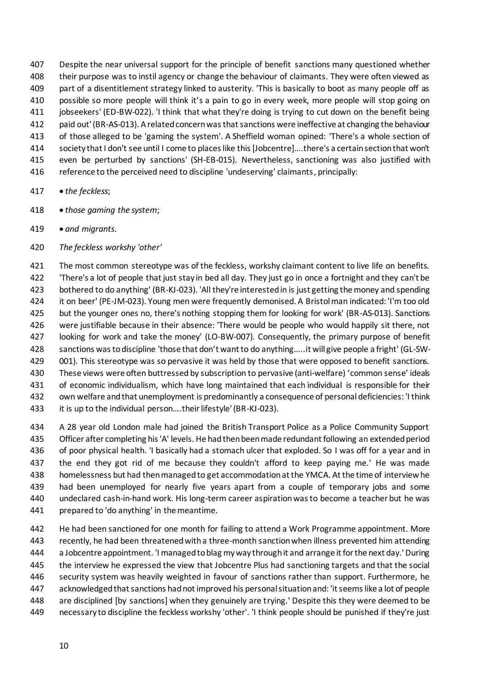Despite the near universal support for the principle of benefit sanctions many questioned whether their purpose was to instil agency or change the behaviour of claimants. They were often viewed as part of a disentitlement strategy linked to austerity. 'This is basically to boot as many people off as possible so more people will think it's a pain to go in every week, more people will stop going on jobseekers' (ED-BW-022). 'I think that what they're doing is trying to cut down on the benefit being paid out' (BR-AS-013). A related concern was that sanctions were ineffective at changing the behaviour of those alleged to be 'gaming the system'. A Sheffield woman opined: 'There's a whole section of society that I don't see until I come to places like this [Jobcentre]….there's a certain section that won't even be perturbed by sanctions' (SH-EB-015). Nevertheless, sanctioning was also justified with reference to the perceived need to discipline 'undeserving' claimants, principally:

- *the feckless*;
- *those gaming the system*;
- *and migrants*.
- *The feckless workshy 'other'*

 The most common stereotype was of the feckless, workshy claimant content to live life on benefits. 'There's a lot of people that just stay in bed all day. They just go in once a fortnight and they can't be bothered to do anything' (BR-KJ-023). 'All they're interested in is just getting the money and spending it on beer' (PE-JM-023). Young men were frequently demonised. A Bristol man indicated: 'I'm too old but the younger ones no, there's nothing stopping them for looking for work' (BR-AS-013). Sanctions were justifiable because in their absence: 'There would be people who would happily sit there, not looking for work and take the money' (LO-BW-007). Consequently, the primary purpose of benefit sanctions was to discipline 'those that don't want to do anything…..it will give people a fright' (GL-SW-429 001). This stereotype was so pervasive it was held by those that were opposed to benefit sanctions. These views were often buttressed by subscription to pervasive (anti-welfare) 'common sense' ideals of economic individualism, which have long maintained that each individual is responsible for their own welfare and that unemployment is predominantly a consequence of personal deficiencies: 'I think 433 it is up to the individual person....their lifestyle' (BR-KJ-023).

 A 28 year old London male had joined the British Transport Police as a Police Community Support Officer after completing his 'A' levels. He had then been made redundant following an extended period of poor physical health. 'I basically had a stomach ulcer that exploded. So I was off for a year and in the end they got rid of me because they couldn't afford to keep paying me.' He was made homelessness but had then managed to get accommodation at the YMCA. At the time of interview he had been unemployed for nearly five years apart from a couple of temporary jobs and some undeclared cash-in-hand work. His long-term career aspiration was to become a teacher but he was prepared to 'do anything' in the meantime.

442 He had been sanctioned for one month for failing to attend a Work Programme appointment. More recently, he had been threatened with a three-month sanction when illness prevented him attending a Jobcentre appointment. 'I managed to blag my way through it and arrange it for the next day.' During the interview he expressed the view that Jobcentre Plus had sanctioning targets and that the social security system was heavily weighted in favour of sanctions rather than support. Furthermore, he acknowledged that sanctions had not improved his personal situation and: 'it seems like a lot of people are disciplined [by sanctions] when they genuinely are trying.' Despite this they were deemed to be necessary to discipline the feckless workshy 'other'. 'I think people should be punished if they're just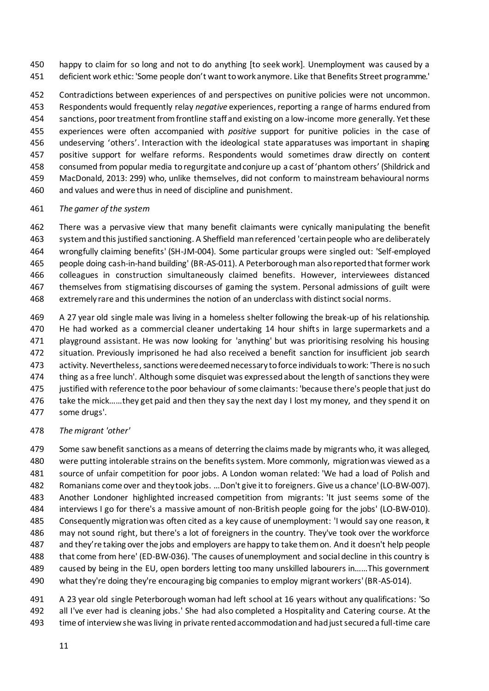happy to claim for so long and not to do anything [to seek work]. Unemployment was caused by a deficient work ethic: 'Some people don't want to work anymore. Like that Benefits Street programme.'

 Contradictions between experiences of and perspectives on punitive policies were not uncommon. Respondents would frequently relay *negative* experiences, reporting a range of harms endured from sanctions, poor treatment from frontline staff and existing on a low-income more generally. Yet these experiences were often accompanied with *positive* support for punitive policies in the case of undeserving 'others'. Interaction with the ideological state apparatuses was important in shaping positive support for welfare reforms. Respondents would sometimes draw directly on content consumed from popular media to regurgitate and conjure up a cast of 'phantom others' (Shildrick and MacDonald, 2013: 299) who, unlike themselves, did not conform to mainstream behavioural norms and values and were thus in need of discipline and punishment.

# *The gamer of the system*

 There was a pervasive view that many benefit claimants were cynically manipulating the benefit system and this justified sanctioning. A Sheffield man referenced 'certain people who are deliberately wrongfully claiming benefits' (SH-JM-004). Some particular groups were singled out: 'Self-employed people doing cash-in-hand building' (BR-AS-011). A Peterborough man also reported that former work colleagues in construction simultaneously claimed benefits. However, interviewees distanced themselves from stigmatising discourses of gaming the system. Personal admissions of guilt were extremely rare and this undermines the notion of an underclass with distinct social norms.

 A 27 year old single male was living in a homeless shelter following the break-up of his relationship. He had worked as a commercial cleaner undertaking 14 hour shifts in large supermarkets and a playground assistant. He was now looking for 'anything' but was prioritising resolving his housing situation. Previously imprisoned he had also received a benefit sanction for insufficient job search activity. Nevertheless, sanctions were deemed necessary to force individuals to work: 'There is no such thing as a free lunch'. Although some disquiet was expressed about the length of sanctions they were justified with reference to the poor behaviour of some claimants: 'because there's people that just do 476 take the mick……they get paid and then they say the next day I lost my money, and they spend it on some drugs'.

# *The migrant 'other'*

 Some saw benefit sanctions as a means of deterring the claims made by migrants who, it was alleged, were putting intolerable strains on the benefits system. More commonly, migration was viewed as a source of unfair competition for poor jobs. A London woman related: 'We had a load of Polish and Romanians come over and they took jobs. …Don't give it to foreigners. Give us a chance' (LO-BW-007). Another Londoner highlighted increased competition from migrants: 'It just seems some of the interviews I go for there's a massive amount of non-British people going for the jobs' (LO-BW-010). Consequently migration was often cited as a key cause of unemployment: 'I would say one reason, it may not sound right, but there's a lot of foreigners in the country. They've took over the workforce and they're taking over the jobs and employers are happy to take them on. And it doesn't help people that come from here' (ED-BW-036). 'The causes of unemployment and social decline in this country is caused by being in the EU, open borders letting too many unskilled labourers in……This government what they're doing they're encouraging big companies to employ migrant workers' (BR-AS-014).

 A 23 year old single Peterborough woman had left school at 16 years without any qualifications: 'So all I've ever had is cleaning jobs.' She had also completed a Hospitality and Catering course. At the time of interview she was living in private rented accommodation and had just secured a full-time care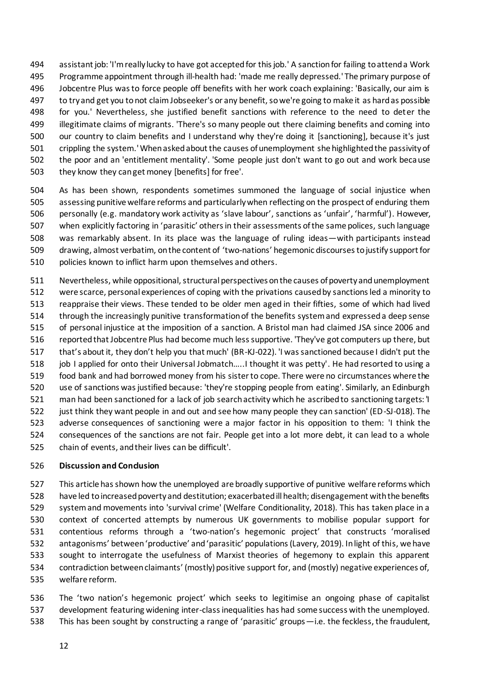assistant job: 'I'm really lucky to have got accepted for this job.' A sanction for failing to attend a Work Programme appointment through ill-health had: 'made me really depressed.' The primary purpose of Jobcentre Plus was to force people off benefits with her work coach explaining: 'Basically, our aim is to try and get you to not claim Jobseeker's or any benefit, so we're going to make it as hard as possible for you.' Nevertheless, she justified benefit sanctions with reference to the need to deter the illegitimate claims of migrants. 'There's so many people out there claiming benefits and coming into our country to claim benefits and I understand why they're doing it [sanctioning], because it's just crippling the system.' When asked about the causes of unemployment she highlighted the passivity of the poor and an 'entitlement mentality'. 'Some people just don't want to go out and work because they know they can get money [benefits] for free'.

 As has been shown, respondents sometimes summoned the language of social injustice when assessing punitive welfare reforms and particularly when reflecting on the prospect of enduring them personally (e.g. mandatory work activity as 'slave labour', sanctions as 'unfair', 'harmful'). However, when explicitly factoring in 'parasitic' others in their assessments of the same polices, such language was remarkably absent. In its place was the language of ruling ideas—with participants instead drawing, almost verbatim, on the content of 'two-nations' hegemonic discourses to justify support for policies known to inflict harm upon themselves and others.

 Nevertheless, while oppositional, structural perspectives on the causes of poverty and unemployment were scarce, personal experiences of coping with the privations caused by sanctions led a minority to reappraise their views. These tended to be older men aged in their fifties, some of which had lived through the increasingly punitive transformation of the benefits system and expressed a deep sense of personal injustice at the imposition of a sanction. A Bristol man had claimed JSA since 2006 and reported that Jobcentre Plus had become much less supportive. 'They've got computers up there, but that's about it, they don't help you that much' (BR-KJ-022). 'I was sanctioned because I didn't put the 518 job I applied for onto their Universal Jobmatch.....I thought it was petty'. He had resorted to using a food bank and had borrowed money from his sister to cope. There were no circumstances where the use of sanctions was justified because: 'they're stopping people from eating'. Similarly, an Edinburgh man had been sanctioned for a lack of job search activity which he ascribed to sanctioning targets: 'I just think they want people in and out and see how many people they can sanction' (ED-SJ-018). The adverse consequences of sanctioning were a major factor in his opposition to them: 'I think the consequences of the sanctions are not fair. People get into a lot more debt, it can lead to a whole chain of events, and their lives can be difficult'.

# **Discussion and Conclusion**

 This article has shown how the unemployed are broadly supportive of punitive welfare reforms which have led to increased poverty and destitution; exacerbated ill health; disengagement with the benefits system and movements into 'survival crime' (Welfare Conditionality, 2018). This has taken place in a context of concerted attempts by numerous UK governments to mobilise popular support for contentious reforms through a 'two-nation's hegemonic project' that constructs 'moralised antagonisms' between 'productive' and 'parasitic' populations (Lavery, 2019). In light of this, we have sought to interrogate the usefulness of Marxist theories of hegemony to explain this apparent contradiction between claimants' (mostly) positive support for, and (mostly) negative experiences of, welfare reform.

 The 'two nation's hegemonic project' which seeks to legitimise an ongoing phase of capitalist development featuring widening inter-class inequalities has had some success with the unemployed. This has been sought by constructing a range of 'parasitic' groups—i.e. the feckless, the fraudulent,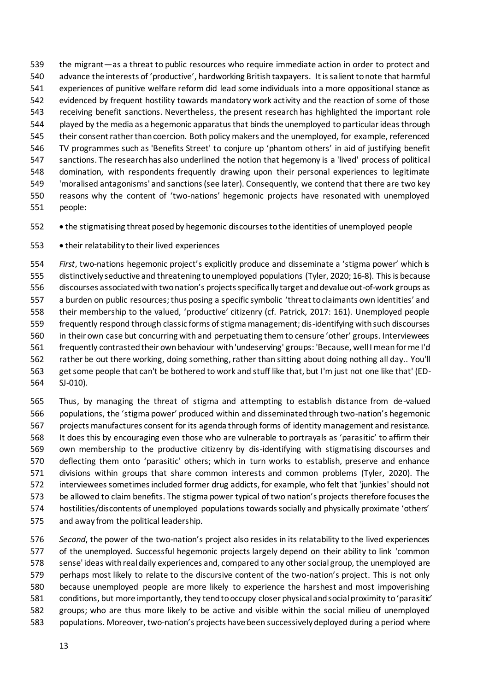the migrant—as a threat to public resources who require immediate action in order to protect and advance the interests of 'productive', hardworking British taxpayers. It is salient to note that harmful experiences of punitive welfare reform did lead some individuals into a more oppositional stance as evidenced by frequent hostility towards mandatory work activity and the reaction of some of those receiving benefit sanctions. Nevertheless, the present research has highlighted the important role played by the media as a hegemonic apparatus that binds the unemployed to particular ideas through their consent rather than coercion. Both policy makers and the unemployed, for example, referenced TV programmes such as 'Benefits Street' to conjure up 'phantom others' in aid of justifying benefit sanctions. The research has also underlined the notion that hegemony is a 'lived' process of political domination, with respondents frequently drawing upon their personal experiences to legitimate 'moralised antagonisms' and sanctions (see later). Consequently, we contend that there are two key reasons why the content of 'two-nations' hegemonic projects have resonated with unemployed people:

• the stigmatising threat posed by hegemonic discourses to the identities of unemployed people

• their relatability to their lived experiences

 *First*, two-nations hegemonic project's explicitly produce and disseminate a 'stigma power' which is distinctively seductive and threatening to unemployed populations (Tyler, 2020; 16-8). This is because discourses associated with two nation's projects specifically target and devalue out-of-work groups as a burden on public resources; thus posing a specific symbolic 'threat to claimants own identities' and their membership to the valued, 'productive' citizenry (cf. Patrick, 2017: 161). Unemployed people frequently respond through classic forms of stigma management; dis-identifying with such discourses in their own case but concurring with and perpetuating them to censure 'other' groups. Interviewees frequently contrasted their own behaviour with 'undeserving' groups: 'Because, well I mean for me I'd rather be out there working, doing something, rather than sitting about doing nothing all day.. You'll get some people that can't be bothered to work and stuff like that, but I'm just not one like that' (ED-SJ-010).

 Thus, by managing the threat of stigma and attempting to establish distance from de-valued populations, the 'stigma power' produced within and disseminated through two-nation's hegemonic projects manufactures consent for its agenda through forms of identity management and resistance. It does this by encouraging even those who are vulnerable to portrayals as 'parasitic' to affirm their own membership to the productive citizenry by dis-identifying with stigmatising discourses and deflecting them onto 'parasitic' others; which in turn works to establish, preserve and enhance divisions within groups that share common interests and common problems (Tyler, 2020). The interviewees sometimes included former drug addicts, for example, who felt that 'junkies' should not be allowed to claim benefits. The stigma power typical of two nation's projects therefore focuses the hostilities/discontents of unemployed populations towards socially and physically proximate 'others' and away from the political leadership.

 *Second*, the power of the two-nation's project also resides in its relatability to the lived experiences of the unemployed. Successful hegemonic projects largely depend on their ability to link 'common sense' ideas with real daily experiences and, compared to any other social group, the unemployed are perhaps most likely to relate to the discursive content of the two-nation's project. This is not only because unemployed people are more likely to experience the harshest and most impoverishing conditions, but more importantly, they tend to occupy closer physical and social proximity to 'parasitic' groups; who are thus more likely to be active and visible within the social milieu of unemployed populations. Moreover, two-nation's projects have been successively deployed during a period where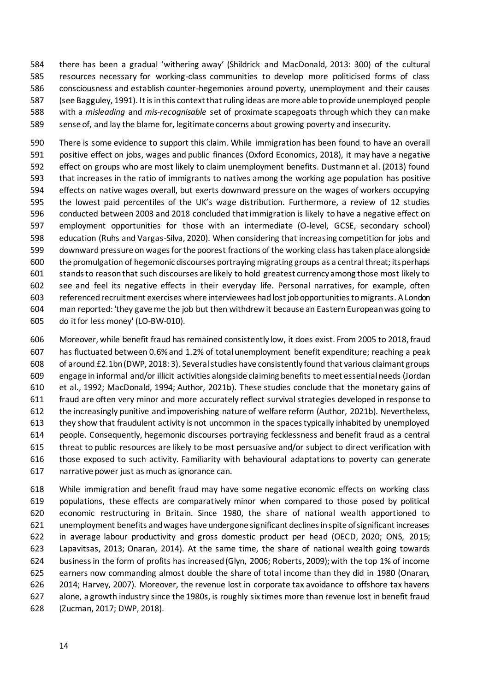there has been a gradual 'withering away' (Shildrick and MacDonald, 2013: 300) of the cultural resources necessary for working-class communities to develop more politicised forms of class consciousness and establish counter-hegemonies around poverty, unemployment and their causes (see Bagguley, 1991). It is in this context that ruling ideas are more able toprovide unemployed people with a *misleading* and *mis-recognisable* set of proximate scapegoats through which they can make sense of, and lay the blame for, legitimate concerns about growing poverty and insecurity.

 There is some evidence to support this claim. While immigration has been found to have an overall positive effect on jobs, wages and public finances (Oxford Economics, 2018), it may have a negative effect on groups who are most likely to claim unemployment benefits. Dustmann et al. (2013) found that increases in the ratio of immigrants to natives among the working age population has positive effects on native wages overall, but exerts downward pressure on the wages of workers occupying the lowest paid percentiles of the UK's wage distribution. Furthermore, a review of 12 studies conducted between 2003 and 2018 concluded that immigration is likely to have a negative effect on employment opportunities for those with an intermediate (O-level, GCSE, secondary school) education (Ruhs and Vargas-Silva, 2020). When considering that increasing competition for jobs and downward pressure on wages for the poorest fractions of the working class has taken place alongside the promulgation of hegemonic discourses portraying migrating groups as a central threat; its perhaps stands to reason that such discourses are likely to hold greatest currency among those most likely to see and feel its negative effects in their everyday life. Personal narratives, for example, often referenced recruitment exercises where interviewees had lost job opportunities to migrants. A London man reported: 'they gave me the job but then withdrew it because an Eastern European was going to do it for less money' (LO-BW-010).

 Moreover, while benefit fraud has remained consistently low, it does exist. From 2005 to 2018, fraud has fluctuated between 0.6% and 1.2% of total unemployment benefit expenditure; reaching a peak of around £2.1bn (DWP, 2018: 3). Severalstudies have consistently found that various claimant groups engage in informal and/or illicit activities alongside claiming benefits to meet essential needs (Jordan et al., 1992; MacDonald, 1994; Author, 2021b). These studies conclude that the monetary gains of fraud are often very minor and more accurately reflect survival strategies developed in response to the increasingly punitive and impoverishing nature of welfare reform (Author, 2021b). Nevertheless, they show that fraudulent activity is not uncommon in the spaces typically inhabited by unemployed people. Consequently, hegemonic discourses portraying fecklessness and benefit fraud as a central threat to public resources are likely to be most persuasive and/or subject to direct verification with those exposed to such activity. Familiarity with behavioural adaptations to poverty can generate narrative power just as much as ignorance can.

 While immigration and benefit fraud may have some negative economic effects on working class populations, these effects are comparatively minor when compared to those posed by political economic restructuring in Britain. Since 1980, the share of national wealth apportioned to unemployment benefits and wages have undergone significant declines in spite of significant increases in average labour productivity and gross domestic product per head (OECD, 2020; ONS, 2015; Lapavitsas, 2013; Onaran, 2014). At the same time, the share of national wealth going towards businessin the form of profits has increased (Glyn, 2006; Roberts, 2009); with the top 1% of income earners now commanding almost double the share of total income than they did in 1980 (Onaran, 2014; Harvey, 2007). Moreover, the revenue lost in corporate tax avoidance to offshore tax havens alone, a growth industry since the 1980s, is roughly six times more than revenue lost in benefit fraud (Zucman, 2017; DWP, 2018).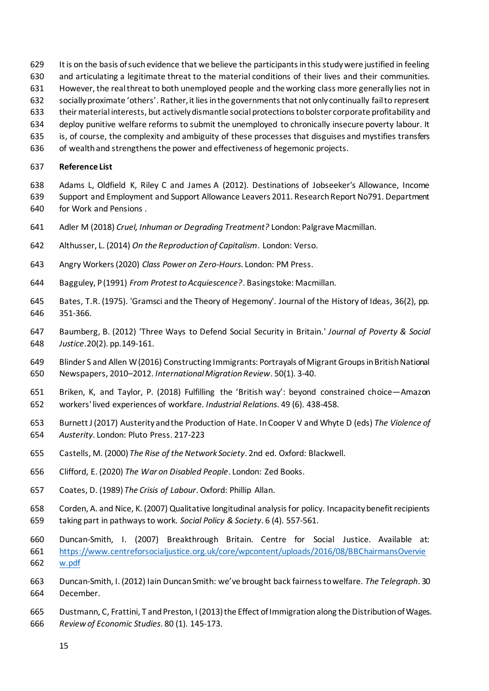- It is on the basis of such evidence that we believe the participants in this study were justified in feeling
- and articulating a legitimate threat to the material conditions of their lives and their communities.
- However, the real threat to both unemployed people and the working class more generally lies not in
- socially proximate 'others'. Rather, it lies in the governments that not only continually fail to represent
- their material interests, but actively dismantle social protections to bolster corporate profitability and
- deploy punitive welfare reforms to submit the unemployed to chronically insecure poverty labour. It
- is, of course, the complexity and ambiguity of these processes that disguises and mystifies transfers
- of wealth and strengthens the power and effectiveness of hegemonic projects.

#### **Reference List**

- Adams L, Oldfield K, Riley C and James A (2012). Destinations of Jobseeker's Allowance, Income Support and Employment and Support Allowance Leavers 2011. Research Report No791. Department for Work and Pensions .
- Adler M (2018) *Cruel, Inhuman or Degrading Treatment?* London: Palgrave Macmillan.
- Althusser, L. (2014) *On the Reproduction of Capitalism*. London: Verso.
- Angry Workers (2020) *Class Power on Zero-Hours*. London: PM Press.
- Bagguley, P (1991) *From Protest to Acquiescence?*. Basingstoke: Macmillan.
- Bates, T.R. (1975). 'Gramsci and the Theory of Hegemony'. Journal of the History of Ideas, 36(2), pp. 351-366.
- Baumberg, B. (2012) 'Three Ways to Defend Social Security in Britain.' *Journal of Poverty & Social Justice*.20(2). pp.149-161.
- Blinder S and Allen W (2016) Constructing Immigrants: Portrayals of Migrant Groups in British National Newspapers, 2010–2012. *International Migration Review*. 50(1). 3-40.
- Briken, K, and Taylor, P. (2018) Fulfilling the 'British way': beyond constrained choice—Amazon workers' lived experiences of workfare. *Industrial Relations*. 49 (6). 438-458.
- Burnett J (2017) Austerity and the Production of Hate. In Cooper V and Whyte D (eds) *The Violence of Austerity*. London: Pluto Press. 217-223
- Castells, M. (2000) *The Rise of the Network Society*. 2nd ed. Oxford: Blackwell.
- Clifford, E. (2020) *The War on Disabled People*. London: Zed Books.
- Coates, D. (1989) *The Crisis of Labour*. Oxford: Phillip Allan.
- Corden, A. and Nice, K. (2007) Qualitative longitudinal analysis for policy. Incapacity benefit recipients taking part in pathways to work. *Social Policy & Society*. 6 (4). 557-561.
- Duncan-Smith, I. (2007) Breakthrough Britain. Centre for Social Justice. Available at: [https://www.centreforsocialjustice.org.uk/core/wpcontent/uploads/2016/08/BBChairmansOvervie](https://www.centreforsocialjustice.org.uk/core/wpcontent/uploads/2016/08/BBChairmansOverview.pdf) [w.pdf](https://www.centreforsocialjustice.org.uk/core/wpcontent/uploads/2016/08/BBChairmansOverview.pdf)
- Duncan-Smith, I. (2012) Iain Duncan Smith: we've brought back fairness to welfare. *The Telegraph*. 30 December.
- Dustmann, C, Frattini, T and Preston, I (2013) the Effect of Immigration along the Distribution of Wages. *Review of Economic Studies*. 80 (1). 145-173.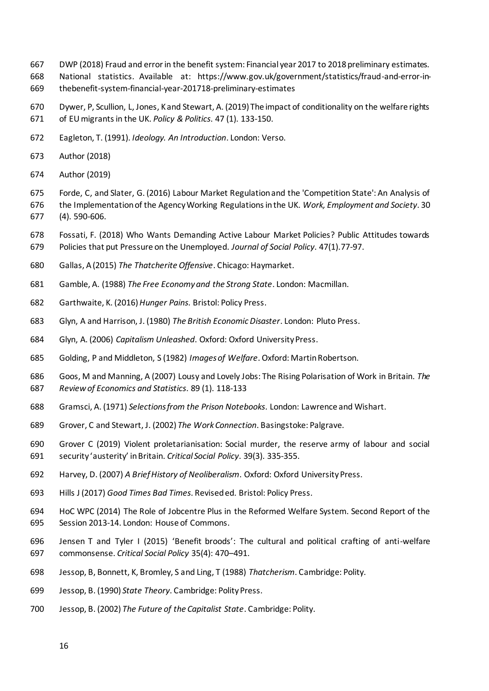- DWP (2018) Fraud and error in the benefit system: Financial year 2017 to 2018 preliminary estimates.
- National statistics. Available at: https://www.gov.uk/government/statistics/fraud-and-error-in-thebenefit-system-financial-year-201718-preliminary-estimates
- Dywer, P, Scullion, L, Jones, K and Stewart, A. (2019) The impact of conditionality on the welfare rights of EU migrants in the UK. *Policy & Politics*. 47 (1). 133-150.
- Eagleton, T. (1991). *Ideology. An Introduction*. London: Verso.
- Author (2018)
- Author (2019)
- Forde, C, and Slater, G. (2016) Labour Market Regulation and the 'Competition State': An Analysis of the Implementation of the Agency Working Regulations in the UK. *Work, Employment and Society*. 30 (4). 590-606.
- Fossati, F. (2018) Who Wants Demanding Active Labour Market Policies? Public Attitudes towards Policies that put Pressure on the Unemployed. *Journal of Social Policy*. 47(1).77-97.
- Gallas, A (2015) *The Thatcherite Offensive*. Chicago: Haymarket.
- Gamble, A. (1988) *The Free Economy and the Strong State*. London: Macmillan.
- Garthwaite, K. (2016) *Hunger Pains*. Bristol: Policy Press.
- Glyn, A and Harrison, J. (1980) *The British Economic Disaster*. London: Pluto Press.
- Glyn, A. (2006) *Capitalism Unleashed*. Oxford: Oxford University Press.
- Golding, P and Middleton, S (1982) *Images of Welfare*. Oxford: Martin Robertson.
- Goos, M and Manning, A (2007) Lousy and Lovely Jobs: The Rising Polarisation of Work in Britain. *The Review of Economics and Statistics*. 89 (1). 118-133
- Gramsci, A. (1971) *Selections from the Prison Notebooks*. London: Lawrence and Wishart.
- Grover, C and Stewart, J. (2002) *The Work Connection*. Basingstoke: Palgrave.
- Grover C (2019) Violent proletarianisation: Social murder, the reserve army of labour and social security 'austerity' in Britain. *Critical Social Policy*. 39(3). 335-355.
- Harvey, D. (2007) *A Brief History of Neoliberalism*. Oxford: Oxford University Press.
- Hills J (2017) *Good Times Bad Times*. Revised ed. Bristol: Policy Press.
- HoC WPC (2014) The Role of Jobcentre Plus in the Reformed Welfare System. Second Report of the Session 2013-14. London: House of Commons.
- Jensen T and Tyler I (2015) 'Benefit broods': The cultural and political crafting of anti-welfare commonsense. *Critical Social Policy* 35(4): 470–491.
- Jessop, B, Bonnett, K, Bromley, S and Ling, T (1988) *Thatcherism*. Cambridge: Polity.
- Jessop, B. (1990) *State Theory*. Cambridge: Polity Press.
- Jessop, B. (2002) *The Future of the Capitalist State*. Cambridge: Polity.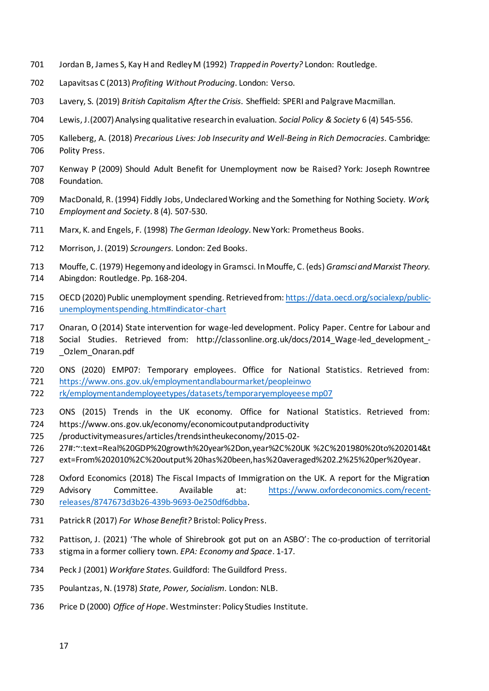- Jordan B, James S, Kay H and Redley M (1992) *Trapped in Poverty?* London: Routledge.
- Lapavitsas C (2013) *Profiting Without Producing*. London: Verso.
- Lavery, S. (2019) *British Capitalism After the Crisis*. Sheffield: SPERI and Palgrave Macmillan.
- Lewis, J.(2007) Analysing qualitative research in evaluation. *Social Policy & Society* 6 (4) 545-556.
- Kalleberg, A. (2018) *Precarious Lives: Job Insecurity and Well-Being in Rich Democracies*. Cambridge: Polity Press.
- Kenway P (2009) Should Adult Benefit for Unemployment now be Raised? York: Joseph Rowntree Foundation.
- MacDonald, R. (1994) Fiddly Jobs, Undeclared Working and the Something for Nothing Society. *Work, Employment and Society*. 8 (4). 507-530.
- Marx, K. and Engels, F. (1998) *The German Ideology*. New York: Prometheus Books.
- Morrison, J. (2019) *Scroungers*. London: Zed Books.

Mouffe, C. (1979) Hegemony and ideology in Gramsci. In Mouffe, C. (eds) *Gramsci and Marxist Theory*.

- Abingdon: Routledge. Pp. 168-204.
- OECD (2020) Public unemployment spending. Retrieved from[: https://data.oecd.org/socialexp/public-](https://data.oecd.org/socialexp/public-unemploymentspending.htm#indicator-chart)[unemploymentspending.htm#indicator-chart](https://data.oecd.org/socialexp/public-unemploymentspending.htm#indicator-chart)
- Onaran, O (2014) State intervention for wage-led development. Policy Paper. Centre for Labour and
- Social Studies. Retrieved from: http://classonline.org.uk/docs/2014\_Wage-led\_development\_- 719 \_\_ Ozlem\_Onaran.pdf
- ONS (2020) EMP07: Temporary employees. Office for National Statistics. Retrieved from: [https://www.ons.gov.uk/employmentandlabourmarket/peopleinwo](https://www.ons.gov.uk/employmentandlabourmarket/peopleinwo%20rk/employmentandemployeetypes/datasets/temporaryemployeese%20mp07)
- [rk/employmentandemployeetypes/datasets/temporaryemployeese mp07](https://www.ons.gov.uk/employmentandlabourmarket/peopleinwo%20rk/employmentandemployeetypes/datasets/temporaryemployeese%20mp07)
- ONS (2015) Trends in the UK economy. Office for National Statistics. Retrieved from:
- https://www.ons.gov.uk/economy/economicoutputandproductivity
- /productivitymeasures/articles/trendsintheukeconomy/2015-02-
- 27#:~:text=Real%20GDP%20growth%20year%2Don,year%2C%20UK %2C%201980%20to%202014&t
- ext=From%202010%2C%20output% 20has%20been,has%20averaged%202.2%25%20per%20year.
- Oxford Economics (2018) The Fiscal Impacts of Immigration on the UK. A report for the Migration

Advisory Committee. Available at: [https://www.oxfordeconomics.com/recent-](https://www.oxfordeconomics.com/recent-releases/8747673d3b26-439b-9693-0e250df6dbba)

- [releases/8747673d3b26-439b-9693-0e250df6dbba.](https://www.oxfordeconomics.com/recent-releases/8747673d3b26-439b-9693-0e250df6dbba)
- Patrick R (2017) *For Whose Benefit?* Bristol: Policy Press.
- Pattison, J. (2021) 'The whole of Shirebrook got put on an ASBO': The co-production of territorial stigma in a former colliery town. *EPA: Economy and Space*. 1-17.
- Peck J (2001) *Workfare States*. Guildford: The Guildford Press.
- Poulantzas, N. (1978) *State, Power, Socialism*. London: NLB.
- Price D (2000) *Office of Hope*. Westminster: Policy Studies Institute.